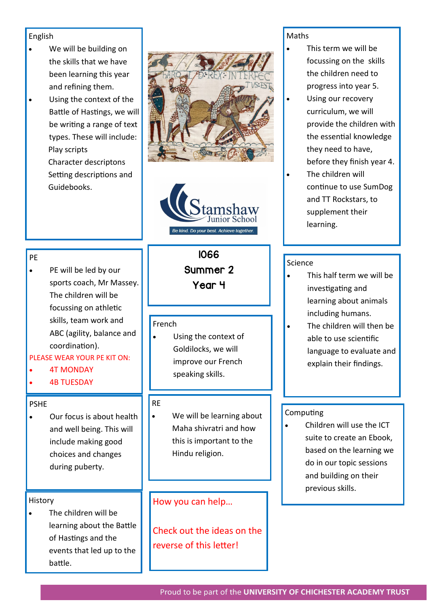#### English

- We will be building on the skills that we have been learning this year and refining them.
- Using the context of the Battle of Hastings, we will be writing a range of text types. These will include: Play scripts Character descriptons Setting descriptions and Guidebooks.





#### PE

PE will be led by our sports coach, Mr Massey. The children will be focussing on athletic skills, team work and ABC (agility, balance and coordination).

## PLEASE WEAR YOUR PE KIT ON:

- 4T MONDAY
- **4B TUESDAY**

#### PSHE

• Our focus is about health and well being. This will include making good choices and changes during puberty.

#### History

The children will be learning about the Battle of Hastings and the events that led up to the battle.

# 1066

Summer 2

Year 4

#### French

• Using the context of Goldilocks, we will improve our French speaking skills.

#### RE

• We will be learning about Maha shivratri and how this is important to the Hindu religion.

## How you can help…

Check out the ideas on the reverse of this letter!

#### Maths

- This term we will be focussing on the skills the children need to progress into year 5.
- Using our recovery curriculum, we will provide the children with the essential knowledge they need to have, before they finish year 4.
- The children will continue to use SumDog and TT Rockstars, to supplement their learning.

## Science

- This half term we will be investigating and learning about animals including humans.
- The children will then be able to use scientific language to evaluate and explain their findings.

#### Computing

• Children will use the ICT suite to create an Ebook, based on the learning we do in our topic sessions and building on their previous skills.